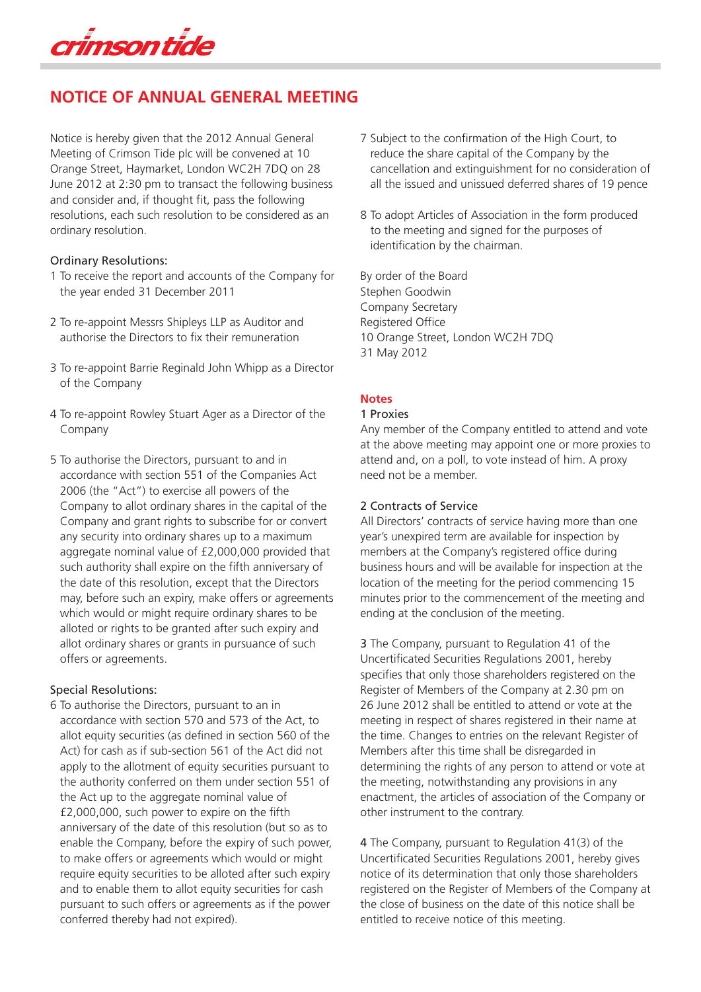crimson tide

# **NOTICE OF ANNUAL GENERAL MEETING**

Notice is hereby given that the 2012 Annual General Meeting of Crimson Tide plc will be convened at 10 Orange Street, Haymarket, London WC2H 7DQ on 28 June 2012 at 2:30 pm to transact the following business and consider and, if thought fit, pass the following resolutions, each such resolution to be considered as an ordinary resolution.

#### Ordinary Resolutions:

- 1 To receive the report and accounts of the Company for the year ended 31 December 2011
- 2 To re-appoint Messrs Shipleys LLP as Auditor and authorise the Directors to fix their remuneration
- 3 To re-appoint Barrie Reginald John Whipp as a Director of the Company
- 4 To re-appoint Rowley Stuart Ager as a Director of the Company
- 5 To authorise the Directors, pursuant to and in accordance with section 551 of the Companies Act 2006 (the "Act") to exercise all powers of the Company to allot ordinary shares in the capital of the Company and grant rights to subscribe for or convert any security into ordinary shares up to a maximum aggregate nominal value of £2,000,000 provided that such authority shall expire on the fifth anniversary of the date of this resolution, except that the Directors may, before such an expiry, make offers or agreements which would or might require ordinary shares to be alloted or rights to be granted after such expiry and allot ordinary shares or grants in pursuance of such offers or agreements.

### Special Resolutions:

6 To authorise the Directors, pursuant to an in accordance with section 570 and 573 of the Act, to allot equity securities (as defined in section 560 of the Act) for cash as if sub-section 561 of the Act did not apply to the allotment of equity securities pursuant to the authority conferred on them under section 551 of the Act up to the aggregate nominal value of £2,000,000, such power to expire on the fifth anniversary of the date of this resolution (but so as to enable the Company, before the expiry of such power, to make offers or agreements which would or might require equity securities to be alloted after such expiry and to enable them to allot equity securities for cash pursuant to such offers or agreements as if the power conferred thereby had not expired).

- 7 Subject to the confirmation of the High Court, to reduce the share capital of the Company by the cancellation and extinguishment for no consideration of all the issued and unissued deferred shares of 19 pence
- 8 To adopt Articles of Association in the form produced to the meeting and signed for the purposes of identification by the chairman.

By order of the Board Stephen Goodwin Company Secretary Registered Office 10 Orange Street, London WC2H 7DQ 31 May 2012

## **Notes**

#### 1 Proxies

Any member of the Company entitled to attend and vote at the above meeting may appoint one or more proxies to attend and, on a poll, to vote instead of him. A proxy need not be a member.

### 2 Contracts of Service

All Directors' contracts of service having more than one year's unexpired term are available for inspection by members at the Company's registered office during business hours and will be available for inspection at the location of the meeting for the period commencing 15 minutes prior to the commencement of the meeting and ending at the conclusion of the meeting.

3 The Company, pursuant to Regulation 41 of the Uncertificated Securities Regulations 2001, hereby specifies that only those shareholders registered on the Register of Members of the Company at 2.30 pm on 26 June 2012 shall be entitled to attend or vote at the meeting in respect of shares registered in their name at the time. Changes to entries on the relevant Register of Members after this time shall be disregarded in determining the rights of any person to attend or vote at the meeting, notwithstanding any provisions in any enactment, the articles of association of the Company or other instrument to the contrary.

4 The Company, pursuant to Regulation 41(3) of the Uncertificated Securities Regulations 2001, hereby gives notice of its determination that only those shareholders registered on the Register of Members of the Company at the close of business on the date of this notice shall be entitled to receive notice of this meeting.